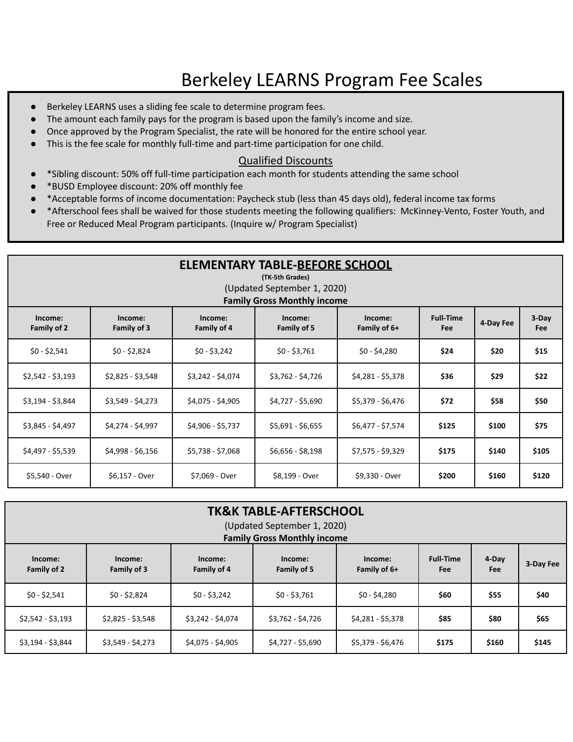## Berkeley LEARNS Program Fee Scales

- Berkeley LEARNS uses a sliding fee scale to determine program fees.
- The amount each family pays for the program is based upon the family's income and size.
- Once approved by the Program Specialist, the rate will be honored for the entire school year.
- This is the fee scale for monthly full-time and part-time participation for one child.

## Qualified Discounts

- \*Sibling discount: 50% off full-time participation each month for students attending the same school
- \*BUSD Employee discount: 20% off monthly fee
- \*Acceptable forms of income documentation: Paycheck stub (less than 45 days old), federal income tax forms
- \*Afterschool fees shall be waived for those students meeting the following qualifiers: McKinney-Vento, Foster Youth, and Free or Reduced Meal Program participants. (Inquire w/ Program Specialist)

| <b>ELEMENTARY TABLE-BEFORE SCHOOL</b><br>(TK-5th Grades)<br>(Updated September 1, 2020)<br><b>Family Gross Monthly income</b>                                           |                   |                   |                   |                   |       |       |       |  |
|-------------------------------------------------------------------------------------------------------------------------------------------------------------------------|-------------------|-------------------|-------------------|-------------------|-------|-------|-------|--|
| <b>Full-Time</b><br>Income:<br>Income:<br>Income:<br>Income:<br>Income:<br>4-Day Fee<br>Family of 2<br>Family of 3<br>Family of 4<br>Family of 6+<br>Family of 5<br>Fee |                   |                   |                   |                   |       |       |       |  |
| $$0 - $2,541$                                                                                                                                                           | $$0 - $2,824$     | $$0 - $3,242$     | $$0 - $3,761$     | $$0 - $4,280$     | \$24  | \$20  | \$15  |  |
| $$2,542 - $3,193$                                                                                                                                                       | $$2,825 - $3,548$ | \$3,242 - \$4,074 | $$3,762 - $4,726$ | \$4,281 - \$5,378 | \$36  | \$29  | \$22  |  |
| $$3,194 - $3,844$                                                                                                                                                       | $$3,549 - $4,273$ | \$4,075 - \$4,905 | \$4,727 - \$5,690 | \$5,379 - \$6,476 | \$72  | \$58  | \$50  |  |
| \$3,845 - \$4,497                                                                                                                                                       | \$4,274 - \$4,997 | \$4,906 - \$5,737 | $$5,691 - $6,655$ | \$6,477 - \$7,574 | \$125 | \$100 | \$75  |  |
| \$4,497 - \$5,539                                                                                                                                                       | $$4,998 - $6,156$ | \$5,738 - \$7,068 | $$6,656 - $8,198$ | $$7,575 - $9,329$ | \$175 | \$140 | \$105 |  |
| \$5,540 - Over                                                                                                                                                          | \$6,157 - Over    | \$7,069 - Over    | \$8,199 - Over    | \$9,330 - Over    | \$200 | \$160 | \$120 |  |

| <b>TK&amp;K TABLE-AFTERSCHOOL</b><br>(Updated September 1, 2020)<br><b>Family Gross Monthly income</b> |                        |                        |                        |                         |                         |              |           |  |
|--------------------------------------------------------------------------------------------------------|------------------------|------------------------|------------------------|-------------------------|-------------------------|--------------|-----------|--|
| Income:<br>Family of 2                                                                                 | Income:<br>Family of 3 | Income:<br>Family of 4 | Income:<br>Family of 5 | Income:<br>Family of 6+ | <b>Full-Time</b><br>Fee | 4-Day<br>Fee | 3-Day Fee |  |
| $$0 - $2,541$                                                                                          | $$0 - $2,824$          | $$0 - $3,242$          | $$0 - $3,761$          | $$0 - $4,280$           | \$60                    | \$55         | \$40      |  |
| $$2,542 - $3,193$                                                                                      | $$2,825 - $3,548$      | \$3,242 - \$4,074      | \$3,762 - \$4,726      | \$4,281 - \$5,378       | \$85                    | \$80         | \$65      |  |
| $$3,194 - $3,844$                                                                                      | $$3,549 - $4,273$      | $$4,075 - $4,905$      | \$4,727 - \$5,690      | \$5,379 - \$6,476       | \$175                   | \$160        | \$145     |  |